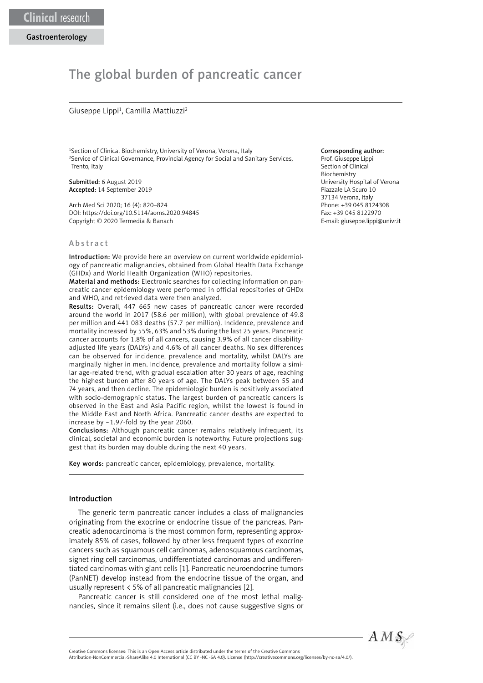# The global burden of pancreatic cancer

### Giuseppe Lippi<sup>1</sup>, Camilla Mattiuzzi<sup>2</sup>

1 Section of Clinical Biochemistry, University of Verona, Verona, Italy 2 Service of Clinical Governance, Provincial Agency for Social and Sanitary Services, Trento, Italy

Submitted: 6 August 2019 Accepted: 14 September 2019

Arch Med Sci 2020; 16 (4): 820–824 DOI: https://doi.org/10.5114/aoms.2020.94845 Copyright © 2020 Termedia & Banach

## Abstract

Introduction: We provide here an overview on current worldwide epidemiology of pancreatic malignancies, obtained from Global Health Data Exchange (GHDx) and World Health Organization (WHO) repositories.

Material and methods: Electronic searches for collecting information on pancreatic cancer epidemiology were performed in official repositories of GHDx and WHO, and retrieved data were then analyzed.

Results: Overall, 447 665 new cases of pancreatic cancer were recorded around the world in 2017 (58.6 per million), with global prevalence of 49.8 per million and 441 083 deaths (57.7 per million). Incidence, prevalence and mortality increased by 55%, 63% and 53% during the last 25 years. Pancreatic cancer accounts for 1.8% of all cancers, causing 3.9% of all cancer disabilityadjusted life years (DALYs) and 4.6% of all cancer deaths. No sex differences can be observed for incidence, prevalence and mortality, whilst DALYs are marginally higher in men. Incidence, prevalence and mortality follow a similar age-related trend, with gradual escalation after 30 years of age, reaching the highest burden after 80 years of age. The DALYs peak between 55 and 74 years, and then decline. The epidemiologic burden is positively associated with socio-demographic status. The largest burden of pancreatic cancers is observed in the East and Asia Pacific region, whilst the lowest is found in the Middle East and North Africa. Pancreatic cancer deaths are expected to increase by ~1.97-fold by the year 2060.

Conclusions: Although pancreatic cancer remains relatively infrequent, its clinical, societal and economic burden is noteworthy. Future projections suggest that its burden may double during the next 40 years.

Key words: pancreatic cancer, epidemiology, prevalence, mortality.

#### Introduction

The generic term pancreatic cancer includes a class of malignancies originating from the exocrine or endocrine tissue of the pancreas. Pancreatic adenocarcinoma is the most common form, representing approximately 85% of cases, followed by other less frequent types of exocrine cancers such as squamous cell carcinomas, adenosquamous carcinomas, signet ring cell carcinomas, undifferentiated carcinomas and undifferentiated carcinomas with giant cells [1]. Pancreatic neuroendocrine tumors (PanNET) develop instead from the endocrine tissue of the organ, and usually represent < 5% of all pancreatic malignancies [2].

Pancreatic cancer is still considered one of the most lethal malignancies, since it remains silent (i.e., does not cause suggestive signs or

## Corresponding author:

Prof. Giuseppe Lippi Section of Clinical Biochemistry University Hospital of Verona Piazzale LA Scuro 10 37134 Verona, Italy Phone: +39 045 8124308 Fax: +39 045 8122970 E-mail: giuseppe.lippi@univr.it



Attribution-NonCommercial-ShareAlike 4.0 International (CC BY -NC -SA 4.0). License (http://creativecommons.org/licenses/by-nc-sa/4.0/).

Creative Commons licenses: This is an Open Access article distributed under the terms of the Creative Commons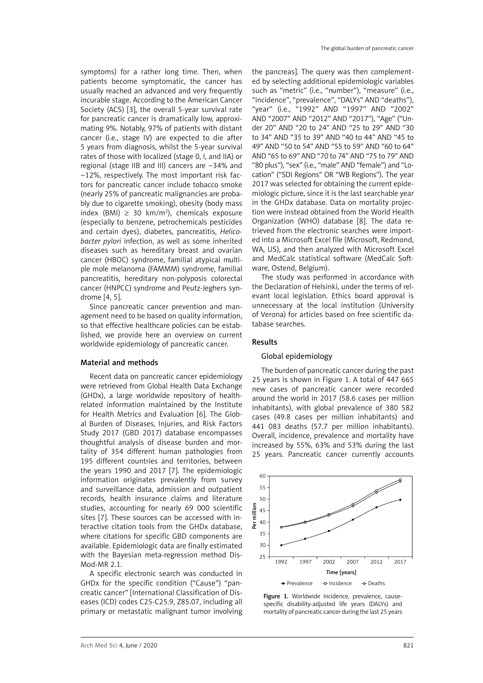symptoms) for a rather long time. Then, when patients become symptomatic, the cancer has usually reached an advanced and very frequently incurable stage. According to the American Cancer Society (ACS) [3], the overall 5-year survival rate for pancreatic cancer is dramatically low, approximating 9%. Notably, 97% of patients with distant cancer (i.e., stage IV) are expected to die after 5 years from diagnosis, whilst the 5-year survival rates of those with localized (stage 0, I, and IIA) or regional (stage IIB and III) cancers are ~34% and ~12%, respectively. The most important risk factors for pancreatic cancer include tobacco smoke (nearly 25% of pancreatic malignancies are probably due to cigarette smoking), obesity (body mass index (BMI) ≥ 30 km/m<sup>2</sup>), chemicals exposure (especially to benzene, petrochemicals pesticides and certain dyes), diabetes, pancreatitis, *Helicobacter pylori* infection, as well as some inherited diseases such as hereditary breast and ovarian cancer (HBOC) syndrome, familial atypical multiple mole melanoma (FAMMM) syndrome, familial pancreatitis, hereditary non-polyposis colorectal cancer (HNPCC) syndrome and Peutz-Jeghers syndrome [4, 5].

Since pancreatic cancer prevention and management need to be based on quality information, so that effective healthcare policies can be established, we provide here an overview on current worldwide epidemiology of pancreatic cancer.

## Material and methods

Recent data on pancreatic cancer epidemiology were retrieved from Global Health Data Exchange (GHDx), a large worldwide repository of healthrelated information maintained by the Institute for Health Metrics and Evaluation [6]. The Global Burden of Diseases, Injuries, and Risk Factors Study 2017 (GBD 2017) database encompasses thoughtful analysis of disease burden and mortality of 354 different human pathologies from 195 different countries and territories, between the years 1990 and 2017 [7]. The epidemiologic information originates prevalently from survey and surveillance data, admission and outpatient records, health insurance claims and literature studies, accounting for nearly 69 000 scientific sites [7]. These sources can be accessed with interactive citation tools from the GHDx database, where citations for specific GBD components are available. Epidemiologic data are finally estimated with the Bayesian meta-regression method Dis-Mod-MR 2.1.

A specific electronic search was conducted in GHDx for the specific condition ("Cause") "pancreatic cancer" [International Classification of Diseases (ICD) codes C25-C25.9, Z85.07, including all primary or metastatic malignant tumor involving the pancreas]. The query was then complemented by selecting additional epidemiologic variables such as "metric" (i.e., "number"), "measure" (i.e., "incidence", "prevalence", "DALYs" AND "deaths"), "year" (i.e., "1992" AND "1997" AND "2002" AND "2007" AND "2012" AND "2017"), "Age" ("Under 20" AND "20 to 24" AND "25 to 29" AND "30 to 34" AND "35 to 39" AND "40 to 44" AND "45 to 49" AND "50 to 54" AND "55 to 59" AND "60 to 64" AND "65 to 69" AND "70 to 74" AND "75 to 79" AND "80 plus"), "sex" (i.e., "male" AND "female") and "Location" ("SDI Regions" OR "WB Regions"). The year 2017 was selected for obtaining the current epidemiologic picture, since it is the last searchable year in the GHDx database. Data on mortality projection were instead obtained from the World Health Organization (WHO) database [8]. The data retrieved from the electronic searches were imported into a Microsoft Excel file (Microsoft, Redmond, WA, US), and then analyzed with Microsoft Excel and MedCalc statistical software (MedCalc Software, Ostend, Belgium).

The study was performed in accordance with the Declaration of Helsinki, under the terms of relevant local legislation. Ethics board approval is unnecessary at the local institution (University of Verona) for articles based on free scientific database searches.

## Results

# Global epidemiology

The burden of pancreatic cancer during the past 25 years is shown in Figure 1. A total of 447 665 new cases of pancreatic cancer were recorded around the world in 2017 (58.6 cases per million inhabitants), with global prevalence of 380 582 cases (49.8 cases per million inhabitants) and 441 083 deaths (57.7 per million inhabitants). Overall, incidence, prevalence and mortality have increased by 55%, 63% and 53% during the last 25 years. Pancreatic cancer currently accounts



Figure 1. Worldwide incidence, prevalence, causespecific disability-adjusted life years (DALYs) and mortality of pancreatic cancer during the last 25 years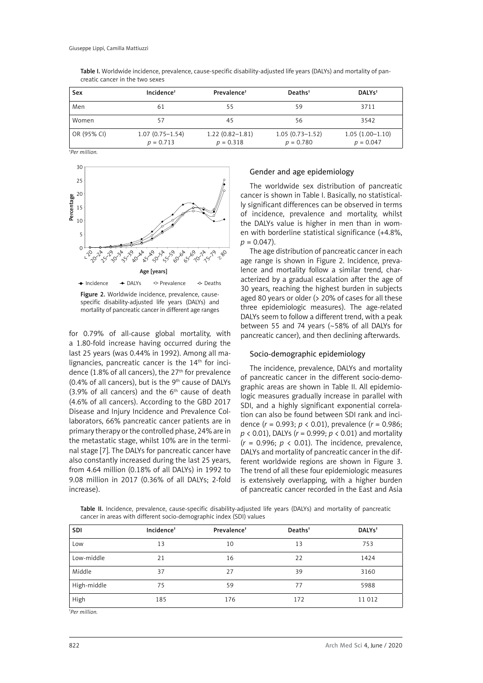| Sex         | $Incidence^{\dagger}$              | Prevalence <sup>†</sup>            | Deaths <sup>†</sup>                | DALY <sub>s</sub> <sup>t</sup>   |
|-------------|------------------------------------|------------------------------------|------------------------------------|----------------------------------|
| Men         | 61                                 | 55                                 | 59                                 | 3711                             |
| Women       | 57                                 | 45                                 | 56                                 | 3542                             |
| OR (95% CI) | $1.07(0.75 - 1.54)$<br>$p = 0.713$ | $1.22(0.82 - 1.81)$<br>$p = 0.318$ | $1.05(0.73 - 1.52)$<br>$p = 0.780$ | $1.05(1.00-1.10)$<br>$p = 0.047$ |

Table I. Worldwide incidence, prevalence, cause-specific disability-adjusted life years (DALYs) and mortality of pancreatic cancer in the two sexes

*† Per million.*



Figure 2. Worldwide incidence, prevalence, causespecific disability-adjusted life years (DALYs) and mortality of pancreatic cancer in different age ranges

for 0.79% of all-cause global mortality, with a 1.80-fold increase having occurred during the last 25 years (was 0.44% in 1992). Among all malignancies, pancreatic cancer is the  $14<sup>th</sup>$  for incidence (1.8% of all cancers), the 27<sup>th</sup> for prevalence  $(0.4\%$  of all cancers), but is the 9<sup>th</sup> cause of DALYs (3.9% of all cancers) and the  $6<sup>th</sup>$  cause of death (4.6% of all cancers). According to the GBD 2017 Disease and Injury Incidence and Prevalence Collaborators, 66% pancreatic cancer patients are in primary therapy or the controlled phase, 24% are in the metastatic stage, whilst 10% are in the terminal stage [7]. The DALYs for pancreatic cancer have also constantly increased during the last 25 years, from 4.64 million (0.18% of all DALYs) in 1992 to 9.08 million in 2017 (0.36% of all DALYs; 2-fold increase).

# Gender and age epidemiology

The worldwide sex distribution of pancreatic cancer is shown in Table I. Basically, no statistically significant differences can be observed in terms of incidence, prevalence and mortality, whilst the DALYs value is higher in men than in women with borderline statistical significance (+4.8%,  $p = 0.047$ .

The age distribution of pancreatic cancer in each age range is shown in Figure 2. Incidence, prevalence and mortality follow a similar trend, characterized by a gradual escalation after the age of 30 years, reaching the highest burden in subjects aged 80 years or older (> 20% of cases for all these three epidemiologic measures). The age-related DALYs seem to follow a different trend, with a peak between 55 and 74 years (~58% of all DALYs for pancreatic cancer), and then declining afterwards.

## Socio-demographic epidemiology

The incidence, prevalence, DALYs and mortality of pancreatic cancer in the different socio-demographic areas are shown in Table II. All epidemiologic measures gradually increase in parallel with SDI, and a highly significant exponential correlation can also be found between SDI rank and incidence (*r* = 0.993; *p* < 0.01), prevalence (*r* = 0.986; *p* < 0.01), DALYs (*r* = 0.999; *p* < 0.01) and mortality  $(r = 0.996; p < 0.01)$ . The incidence, prevalence, DALYs and mortality of pancreatic cancer in the different worldwide regions are shown in Figure 3. The trend of all these four epidemiologic measures is extensively overlapping, with a higher burden of pancreatic cancer recorded in the East and Asia

Table II. Incidence, prevalence, cause-specific disability-adjusted life years (DALYs) and mortality of pancreatic cancer in areas with different socio-demographic index (SDI) values

| <b>SDI</b>  | Incidence <sup>+</sup> | Prevalence <sup>+</sup> | Deaths <sup>t</sup> | DALYs <sup>t</sup> |
|-------------|------------------------|-------------------------|---------------------|--------------------|
| Low         | 13                     | 10                      | 13                  | 753                |
| Low-middle  | 21                     | 16                      | 22                  | 1424               |
| Middle      | 37                     | 27                      | 39                  | 3160               |
| High-middle | 75                     | 59                      | 77                  | 5988               |
| High        | 185                    | 176                     | 172                 | 11 012             |

*† Per million.*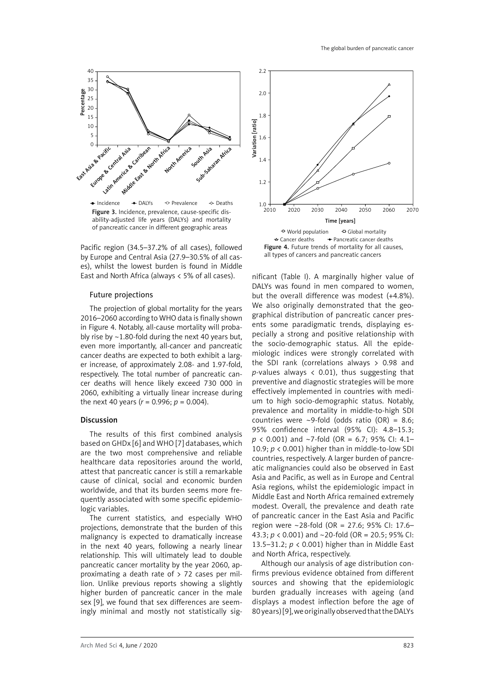

Figure 3. Incidence, prevalence, cause-specific disability-adjusted life years (DALYs) and mortality of pancreatic cancer in different geographic areas Incidence  $\rightarrow$  DALYs  $\rightarrow$  Prevalence  $\rightarrow$  Deaths

Pacific region (34.5–37.2% of all cases), followed by Europe and Central Asia (27.9–30.5% of all cases), whilst the lowest burden is found in Middle East and North Africa (always < 5% of all cases).

### Future projections

The projection of global mortality for the years 2016–2060 according to WHO data is finally shown in Figure 4. Notably, all-cause mortality will probably rise by  $\sim$ 1.80-fold during the next 40 years but, even more importantly, all-cancer and pancreatic cancer deaths are expected to both exhibit a larger increase, of approximately 2.08- and 1.97-fold, respectively. The total number of pancreatic cancer deaths will hence likely exceed 730 000 in 2060, exhibiting a virtually linear increase during the next 40 years ( $r = 0.996$ ;  $p = 0.004$ ).

#### Discussion

The results of this first combined analysis based on GHDx [6] and WHO [7] databases, which are the two most comprehensive and reliable healthcare data repositories around the world, attest that pancreatic cancer is still a remarkable cause of clinical, social and economic burden worldwide, and that its burden seems more frequently associated with some specific epidemiologic variables.

The current statistics, and especially WHO projections, demonstrate that the burden of this malignancy is expected to dramatically increase in the next 40 years, following a nearly linear relationship. This will ultimately lead to double pancreatic cancer mortality by the year 2060, approximating a death rate of  $>$  72 cases per million. Unlike previous reports showing a slightly higher burden of pancreatic cancer in the male sex [9], we found that sex differences are seemingly minimal and mostly not statistically sig-



all types of cancers and pancreatic cancers

nificant (Table I). A marginally higher value of DALYs was found in men compared to women, but the overall difference was modest (+4.8%). We also originally demonstrated that the geographical distribution of pancreatic cancer presents some paradigmatic trends, displaying especially a strong and positive relationship with the socio-demographic status. All the epidemiologic indices were strongly correlated with the SDI rank (correlations always > 0.98 and  $p$ -values always < 0.01), thus suggesting that preventive and diagnostic strategies will be more effectively implemented in countries with medium to high socio-demographic status. Notably, prevalence and mortality in middle-to-high SDI countries were  $\sim$ 9-fold (odds ratio (OR) = 8.6; 95% confidence interval (95% CI): 4.8–15.3; *p* < 0.001) and ~7-fold (OR = 6.7; 95% CI: 4.1– 10.9; *p* < 0.001) higher than in middle-to-low SDI countries, respectively. A larger burden of pancreatic malignancies could also be observed in East Asia and Pacific, as well as in Europe and Central Asia regions, whilst the epidemiologic impact in Middle East and North Africa remained extremely modest. Overall, the prevalence and death rate of pancreatic cancer in the East Asia and Pacific region were ~28-fold (OR = 27.6; 95% CI: 17.6– 43.3; *p* < 0.001) and ~20-fold (OR = 20.5; 95% CI: 13.5–31.2; *p* < 0.001) higher than in Middle East and North Africa, respectively.

Although our analysis of age distribution confirms previous evidence obtained from different sources and showing that the epidemiologic burden gradually increases with ageing (and displays a modest inflection before the age of 80 years) [9], we originally observed that the DALYs